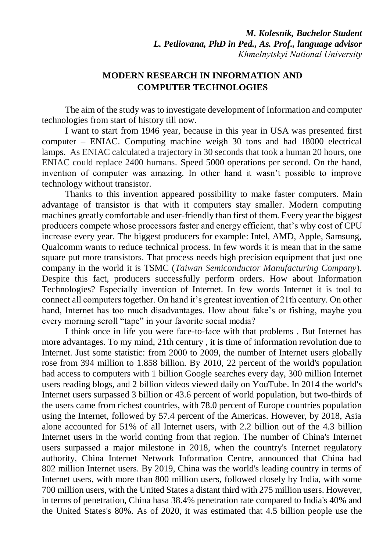*M. Kolesnik, Bachelor Student L. Petliovana, PhD in Ped., As. Prof., language advisor Khmelnytskyi National University*

## **MODERN RESEARCH IN INFORMATION AND COMPUTER TECHNOLOGIES**

The aim of the study was to investigate development of Information and computer technologies from start of history till now.

I want to start from 1946 year, because in this year in USA was presented first computer – ENIAC. Computing machine weigh 30 tons and had 18000 electrical lamps. As ENIAC calculated a trajectory in 30 seconds that took a human 20 hours, one ENIAC could replace 2400 humans. Speed 5000 operations per second. On the hand, invention of computer was amazing. In other hand it wasn't possible to improve technology without transistor.

Thanks to this invention appeared possibility to make faster computers. Main advantage of transistor is that with it computers stay smaller. Modern computing machines greatly comfortable and user-friendly than first of them. Every year the biggest producers compete whose processors faster and energy efficient, that's why cost of CPU increase every year. The biggest producers for example: Intel, AMD, Apple, Samsung, Qualcomm wants to reduce technical process. In few words it is mean that in the same square put more transistors. That process needs high precision equipment that just one company in the world it is TSMC (*Taiwan Semiconductor Manufacturing Company*). Despite this fact, producers successfully perform orders. How about Information Technologies? Especially invention of Internet. In few words Internet it is tool to connect all computers together. On hand it's greatest invention of 21th century. On other hand, Internet has too much disadvantages. How about fake's or fishing, maybe you every morning scroll "tape" in your favorite social media?

I think once in life you were face-to-face with that problems . But Internet has more advantages. To my mind, 21th century , it is time of information revolution due to Internet. Just some statistic: from 2000 to 2009, the number of Internet users globally rose from 394 million to 1.858 billion. By 2010, 22 percent of the world's population had access to computers with 1 billion Google searches every day, 300 million Internet users reading blogs, and 2 billion videos viewed daily on YouTube. In 2014 the world's Internet users surpassed 3 billion or 43.6 percent of world population, but two-thirds of the users came from richest countries, with 78.0 percent of Europe countries population using the Internet, followed by 57.4 percent of the Americas. However, by 2018, Asia alone accounted for 51% of all Internet users, with 2.2 billion out of the 4.3 billion Internet users in the world coming from that region. The number of China's Internet users surpassed a major milestone in 2018, when the country's Internet regulatory authority, China Internet Network Information Centre, announced that China had 802 million Internet users. By 2019, China was the world's leading country in terms of Internet users, with more than 800 million users, followed closely by India, with some 700 million users, with the United States a distant third with 275 million users. However, in terms of penetration, China hasa 38.4% penetration rate compared to India's 40% and the United States's 80%. As of 2020, it was estimated that 4.5 billion people use the